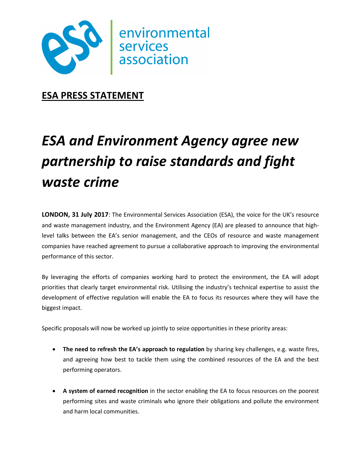

**ESA PRESS STATEMENT** 

# *ESA and Environment Agency agree new partnership to raise standards and fight waste crime*

**LONDON, 31 July 2017**: The Environmental Services Association (ESA), the voice for the UK's resource and waste management industry, and the Environment Agency (EA) are pleased to announce that highlevel talks between the EA's senior management, and the CEOs of resource and waste management companies have reached agreement to pursue a collaborative approach to improving the environmental performance of this sector.

By leveraging the efforts of companies working hard to protect the environment, the EA will adopt priorities that clearly target environmental risk. Utilising the industry's technical expertise to assist the development of effective regulation will enable the EA to focus its resources where they will have the biggest impact.

Specific proposals will now be worked up jointly to seize opportunities in these priority areas:

- **The need to refresh the EA's approach to regulation** by sharing key challenges, e.g. waste fires, and agreeing how best to tackle them using the combined resources of the EA and the best performing operators.
- **A system of earned recognition** in the sector enabling the EA to focus resources on the poorest performing sites and waste criminals who ignore their obligations and pollute the environment and harm local communities.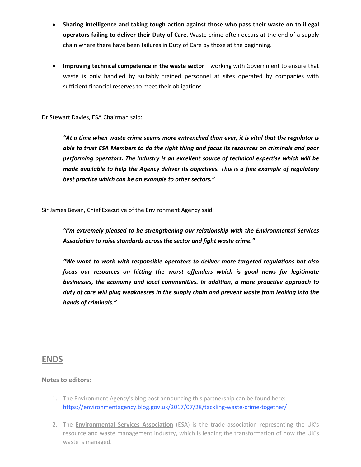- **Sharing intelligence and taking tough action against those who pass their waste on to illegal operators failing to deliver their Duty of Care**. Waste crime often occurs at the end of a supply chain where there have been failures in Duty of Care by those at the beginning.
- **Improving technical competence in the waste sector** working with Government to ensure that waste is only handled by suitably trained personnel at sites operated by companies with sufficient financial reserves to meet their obligations

Dr Stewart Davies, ESA Chairman said:

*"At a time when waste crime seems more entrenched than ever, it is vital that the regulator is able to trust ESA Members to do the right thing and focus its resources on criminals and poor performing operators. The industry is an excellent source of technical expertise which will be made available to help the Agency deliver its objectives. This is a fine example of regulatory best practice which can be an example to other sectors."* 

Sir James Bevan, Chief Executive of the Environment Agency said:

*"I'm extremely pleased to be strengthening our relationship with the Environmental Services Association to raise standards across the sector and fight waste crime."* 

*"We want to work with responsible operators to deliver more targeted regulations but also focus our resources on hitting the worst offenders which is good news for legitimate businesses, the economy and local communities. In addition, a more proactive approach to duty of care will plug weaknesses in the supply chain and prevent waste from leaking into the hands of criminals."* 

## **ENDS**

### **Notes to editors:**

- 1. The Environment Agency's blog post announcing this partnership can be found here: https://environmentagency.blog.gov.uk/2017/07/28/tackling-waste-crime-together/
- 2. The **Environmental Services Association** (ESA) is the trade association representing the UK's resource and waste management industry, which is leading the transformation of how the UK's waste is managed.